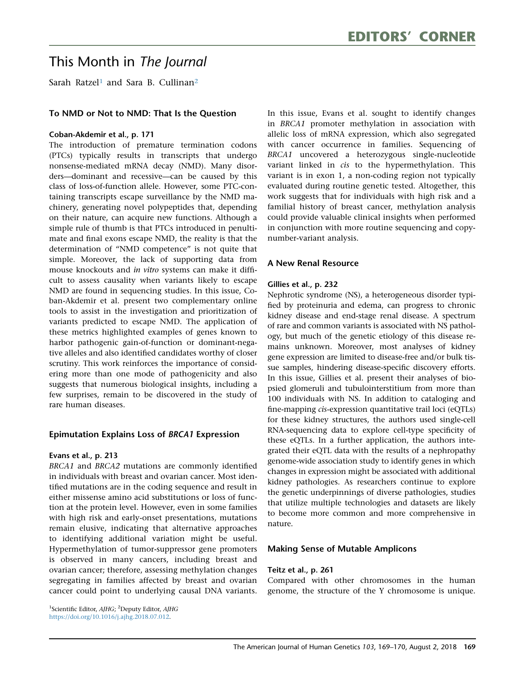# This Month in The Journal

Sarah Ratzel<sup>1</sup> and Sara B. Cullinan<sup>2</sup>

# To NMD or Not to NMD: That Is the Question

#### Coban-Akdemir et al., p. 171

The introduction of premature termination codons (PTCs) typically results in transcripts that undergo nonsense-mediated mRNA decay (NMD). Many disorders—dominant and recessive—can be caused by this class of loss-of-function allele. However, some PTC-containing transcripts escape surveillance by the NMD machinery, generating novel polypeptides that, depending on their nature, can acquire new functions. Although a simple rule of thumb is that PTCs introduced in penultimate and final exons escape NMD, the reality is that the determination of ''NMD competence'' is not quite that simple. Moreover, the lack of supporting data from mouse knockouts and in vitro systems can make it difficult to assess causality when variants likely to escape NMD are found in sequencing studies. In this issue, Coban-Akdemir et al. present two complementary online tools to assist in the investigation and prioritization of variants predicted to escape NMD. The application of these metrics highlighted examples of genes known to harbor pathogenic gain-of-function or dominant-negative alleles and also identified candidates worthy of closer scrutiny. This work reinforces the importance of considering more than one mode of pathogenicity and also suggests that numerous biological insights, including a few surprises, remain to be discovered in the study of rare human diseases.

# Epimutation Explains Loss of BRCA1 Expression

#### Evans et al., p. 213

BRCA1 and BRCA2 mutations are commonly identified in individuals with breast and ovarian cancer. Most identified mutations are in the coding sequence and result in either missense amino acid substitutions or loss of function at the protein level. However, even in some families with high risk and early-onset presentations, mutations remain elusive, indicating that alternative approaches to identifying additional variation might be useful. Hypermethylation of tumor-suppressor gene promoters is observed in many cancers, including breast and ovarian cancer; therefore, assessing methylation changes segregating in families affected by breast and ovarian cancer could point to underlying causal DNA variants.

In this issue, Evans et al. sought to identify changes in BRCA1 promoter methylation in association with allelic loss of mRNA expression, which also segregated with cancer occurrence in families. Sequencing of BRCA1 uncovered a heterozygous single-nucleotide variant linked in *cis* to the hypermethylation. This variant is in exon 1, a non-coding region not typically evaluated during routine genetic tested. Altogether, this work suggests that for individuals with high risk and a familial history of breast cancer, methylation analysis could provide valuable clinical insights when performed in conjunction with more routine sequencing and copynumber-variant analysis.

# A New Renal Resource

#### Gillies et al., p. 232

Nephrotic syndrome (NS), a heterogeneous disorder typified by proteinuria and edema, can progress to chronic kidney disease and end-stage renal disease. A spectrum of rare and common variants is associated with NS pathology, but much of the genetic etiology of this disease remains unknown. Moreover, most analyses of kidney gene expression are limited to disease-free and/or bulk tissue samples, hindering disease-specific discovery efforts. In this issue, Gillies et al. present their analyses of biopsied glomeruli and tubulointerstitium from more than 100 individuals with NS. In addition to cataloging and fine-mapping cis-expression quantitative trail loci (eQTLs) for these kidney structures, the authors used single-cell RNA-sequencing data to explore cell-type specificity of these eQTLs. In a further application, the authors integrated their eQTL data with the results of a nephropathy genome-wide association study to identify genes in which changes in expression might be associated with additional kidney pathologies. As researchers continue to explore the genetic underpinnings of diverse pathologies, studies that utilize multiple technologies and datasets are likely to become more common and more comprehensive in nature.

# Making Sense of Mutable Amplicons

#### Teitz et al., p. 261

Compared with other chromosomes in the human genome, the structure of the Y chromosome is unique.

<span id="page-0-0"></span><sup>1</sup>Scientific Editor, AJHG; <sup>2</sup>Deputy Editor, AJHG [https://doi.org/10.1016/j.ajhg.2018.07.012.](https://doi.org/10.1016/j.ajhg.2018.07.012)